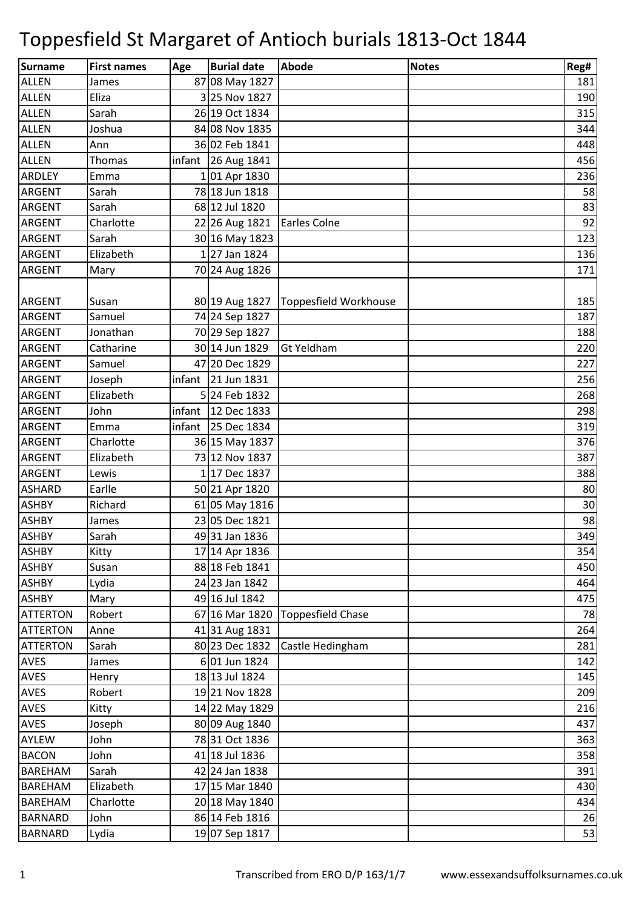| <b>Surname</b>  | <b>First names</b> | Age    | <b>Burial date</b>   | <b>Abode</b>             | <b>Notes</b> | Reg# |
|-----------------|--------------------|--------|----------------------|--------------------------|--------------|------|
| <b>ALLEN</b>    | James              |        | 87 08 May 1827       |                          |              | 181  |
| <b>ALLEN</b>    | Eliza              |        | 3 25 Nov 1827        |                          |              | 190  |
| <b>ALLEN</b>    | Sarah              |        | 26 19 Oct 1834       |                          |              | 315  |
| <b>ALLEN</b>    | Joshua             |        | 84 08 Nov 1835       |                          |              | 344  |
| <b>ALLEN</b>    | Ann                |        | 36 02 Feb 1841       |                          |              | 448  |
| <b>ALLEN</b>    | <b>Thomas</b>      |        | infant 26 Aug 1841   |                          |              | 456  |
| <b>ARDLEY</b>   | Emma               |        | 101 Apr 1830         |                          |              | 236  |
| <b>ARGENT</b>   | Sarah              |        | 78 18 Jun 1818       |                          |              | 58   |
| ARGENT          | Sarah              |        | 68 12 Jul 1820       |                          |              | 83   |
| ARGENT          | Charlotte          |        | 22 26 Aug 1821       | Earles Colne             |              | 92   |
| ARGENT          | Sarah              |        | 30 16 May 1823       |                          |              | 123  |
| <b>ARGENT</b>   | Elizabeth          |        | 127 Jan 1824         |                          |              | 136  |
| ARGENT          | Mary               |        | 70 24 Aug 1826       |                          |              | 171  |
|                 |                    |        |                      |                          |              |      |
| <b>ARGENT</b>   | Susan              |        | 80 19 Aug 1827       | Toppesfield Workhouse    |              | 185  |
| <b>ARGENT</b>   | Samuel             |        | 74 24 Sep 1827       |                          |              | 187  |
| <b>ARGENT</b>   | Jonathan           |        | 70 29 Sep 1827       |                          |              | 188  |
| ARGENT          | Catharine          |        | 30 14 Jun 1829       | Gt Yeldham               |              | 220  |
| ARGENT          | Samuel             |        | 47 20 Dec 1829       |                          |              | 227  |
| ARGENT          | Joseph             | infant | 21 Jun 1831          |                          |              | 256  |
| ARGENT          | Elizabeth          |        | 5 24 Feb 1832        |                          |              | 268  |
| ARGENT          | John               |        | infant   12 Dec 1833 |                          |              | 298  |
| <b>ARGENT</b>   | Emma               | infant | 25 Dec 1834          |                          |              | 319  |
| ARGENT          | Charlotte          |        | 36 15 May 1837       |                          |              | 376  |
| ARGENT          | Elizabeth          |        | 73 12 Nov 1837       |                          |              | 387  |
| ARGENT          | Lewis              |        | 1 17 Dec 1837        |                          |              | 388  |
| <b>ASHARD</b>   | Earlle             |        | 50 21 Apr 1820       |                          |              | 80   |
| <b>ASHBY</b>    | Richard            |        | 61 05 May 1816       |                          |              | 30   |
| <b>ASHBY</b>    | James              |        | 23 05 Dec 1821       |                          |              | 98   |
| ASHBY           | Sarah              |        | 49 31 Jan 1836       |                          |              | 349  |
| ASHBY           | Kitty              |        | 17 14 Apr 1836       |                          |              | 354  |
| ASHBY           | Susan              |        | 88 18 Feb 1841       |                          |              | 450  |
| <b>ASHBY</b>    | Lydia              |        | 24 23 Jan 1842       |                          |              | 464  |
| <b>ASHBY</b>    | Mary               |        | 49 16 Jul 1842       |                          |              | 475  |
| <b>ATTERTON</b> | Robert             |        | 67 16 Mar 1820       | <b>Toppesfield Chase</b> |              | 78   |
| <b>ATTERTON</b> | Anne               |        | 41 31 Aug 1831       |                          |              | 264  |
| <b>ATTERTON</b> | Sarah              |        | 80 23 Dec 1832       | Castle Hedingham         |              | 281  |
| <b>AVES</b>     | James              |        | 6 01 Jun 1824        |                          |              | 142  |
| <b>AVES</b>     | Henry              |        | 18 13 Jul 1824       |                          |              | 145  |
| <b>AVES</b>     | Robert             |        | 19 21 Nov 1828       |                          |              | 209  |
| <b>AVES</b>     | Kitty              |        | 14 22 May 1829       |                          |              | 216  |
| <b>AVES</b>     | Joseph             |        | 80 09 Aug 1840       |                          |              | 437  |
| AYLEW           | John               |        | 78 31 Oct 1836       |                          |              | 363  |
| <b>BACON</b>    | John               |        | 41 18 Jul 1836       |                          |              | 358  |
| BAREHAM         | Sarah              |        | 42 24 Jan 1838       |                          |              | 391  |
| <b>BAREHAM</b>  | Elizabeth          |        | 17 15 Mar 1840       |                          |              | 430  |
| <b>BAREHAM</b>  | Charlotte          |        | 20 18 May 1840       |                          |              | 434  |
| <b>BARNARD</b>  | John               |        | 86 14 Feb 1816       |                          |              | 26   |
| <b>BARNARD</b>  | Lydia              |        | 19 07 Sep 1817       |                          |              | 53   |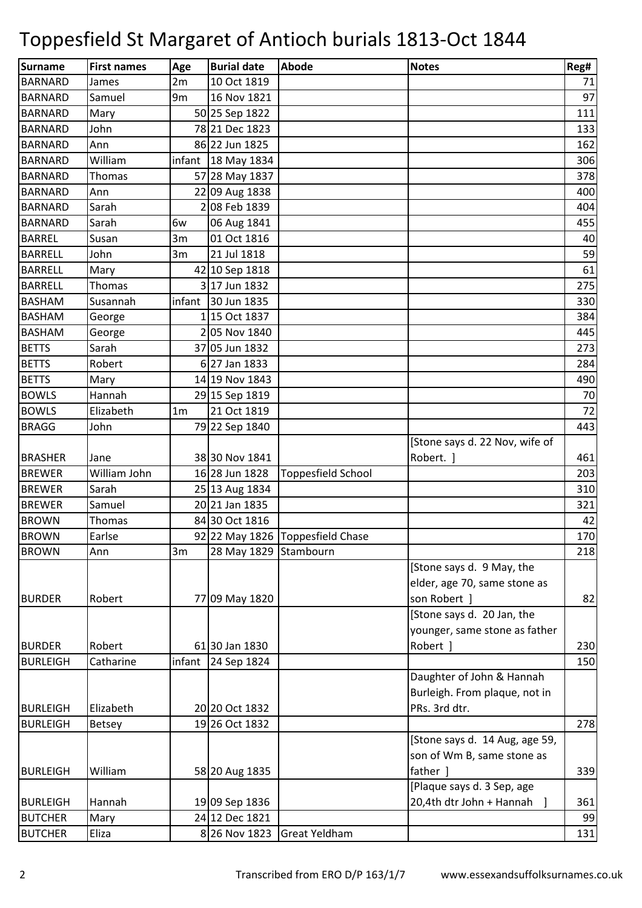| <b>Surname</b>  | <b>First names</b> | Age            | <b>Burial date</b>   | <b>Abode</b>                     | <b>Notes</b>                   | Reg# |
|-----------------|--------------------|----------------|----------------------|----------------------------------|--------------------------------|------|
| <b>BARNARD</b>  | James              | 2m             | 10 Oct 1819          |                                  |                                | 71   |
| <b>BARNARD</b>  | Samuel             | 9m             | 16 Nov 1821          |                                  |                                | 97   |
| <b>BARNARD</b>  | Mary               |                | 50 25 Sep 1822       |                                  |                                | 111  |
| <b>BARNARD</b>  | John               |                | 78 21 Dec 1823       |                                  |                                | 133  |
| <b>BARNARD</b>  | Ann                |                | 86 22 Jun 1825       |                                  |                                | 162  |
| <b>BARNARD</b>  | William            |                | infant   18 May 1834 |                                  |                                | 306  |
| <b>BARNARD</b>  | Thomas             |                | 57 28 May 1837       |                                  |                                | 378  |
| <b>BARNARD</b>  | Ann                |                | 22 09 Aug 1838       |                                  |                                | 400  |
| <b>BARNARD</b>  | Sarah              |                | 208 Feb 1839         |                                  |                                | 404  |
| <b>BARNARD</b>  | Sarah              | 6w             | 06 Aug 1841          |                                  |                                | 455  |
| <b>BARREL</b>   | Susan              | 3m             | 01 Oct 1816          |                                  |                                | 40   |
| <b>BARRELL</b>  | John               | 3m             | 21 Jul 1818          |                                  |                                | 59   |
| <b>BARRELL</b>  | Mary               |                | 42 10 Sep 1818       |                                  |                                | 61   |
| <b>BARRELL</b>  | Thomas             |                | 3 17 Jun 1832        |                                  |                                | 275  |
| <b>BASHAM</b>   | Susannah           |                | infant 30 Jun 1835   |                                  |                                | 330  |
| <b>BASHAM</b>   | George             |                | 1 15 Oct 1837        |                                  |                                | 384  |
| <b>BASHAM</b>   | George             |                | 205 Nov 1840         |                                  |                                | 445  |
| <b>BETTS</b>    | Sarah              |                | 37 05 Jun 1832       |                                  |                                | 273  |
| <b>BETTS</b>    | Robert             |                | 6 27 Jan 1833        |                                  |                                | 284  |
| <b>BETTS</b>    | Mary               |                | 14 19 Nov 1843       |                                  |                                | 490  |
| <b>BOWLS</b>    | Hannah             |                | 29 15 Sep 1819       |                                  |                                | 70   |
| <b>BOWLS</b>    | Elizabeth          | 1 <sub>m</sub> | 21 Oct 1819          |                                  |                                | 72   |
| <b>BRAGG</b>    | John               |                | 79 22 Sep 1840       |                                  |                                | 443  |
|                 |                    |                |                      |                                  | [Stone says d. 22 Nov, wife of |      |
| <b>BRASHER</b>  | Jane               |                | 38 30 Nov 1841       |                                  | Robert. ]                      | 461  |
| <b>BREWER</b>   | William John       |                | 16 28 Jun 1828       | <b>Toppesfield School</b>        |                                | 203  |
| <b>BREWER</b>   | Sarah              |                | 25 13 Aug 1834       |                                  |                                | 310  |
| <b>BREWER</b>   | Samuel             |                | 20 21 Jan 1835       |                                  |                                | 321  |
| <b>BROWN</b>    | Thomas             |                | 84 30 Oct 1816       |                                  |                                | 42   |
| <b>BROWN</b>    | Earlse             |                |                      | 92 22 May 1826 Toppesfield Chase |                                | 170  |
| <b>BROWN</b>    | Ann                | 3m             | 28 May 1829          | Stambourn                        |                                | 218  |
|                 |                    |                |                      |                                  | [Stone says d. 9 May, the      |      |
|                 |                    |                |                      |                                  | elder, age 70, same stone as   |      |
| <b>BURDER</b>   | Robert             |                | 77 09 May 1820       |                                  | son Robert ]                   | 82   |
|                 |                    |                |                      |                                  | [Stone says d. 20 Jan, the     |      |
|                 |                    |                |                      |                                  | younger, same stone as father  |      |
| <b>BURDER</b>   | Robert             |                | 61 30 Jan 1830       |                                  | Robert ]                       | 230  |
| <b>BURLEIGH</b> | Catharine          | infant         | 24 Sep 1824          |                                  |                                | 150  |
|                 |                    |                |                      |                                  | Daughter of John & Hannah      |      |
|                 |                    |                |                      |                                  | Burleigh. From plaque, not in  |      |
| <b>BURLEIGH</b> | Elizabeth          |                | 20 20 Oct 1832       |                                  | PRs. 3rd dtr.                  |      |
| <b>BURLEIGH</b> | <b>Betsey</b>      |                | 19 26 Oct 1832       |                                  |                                | 278  |
|                 |                    |                |                      |                                  | [Stone says d. 14 Aug, age 59, |      |
|                 |                    |                |                      |                                  | son of Wm B, same stone as     |      |
| <b>BURLEIGH</b> | William            |                | 58 20 Aug 1835       |                                  | father ]                       | 339  |
|                 |                    |                |                      |                                  | [Plaque says d. 3 Sep, age     |      |
| <b>BURLEIGH</b> | Hannah             |                | 19 09 Sep 1836       |                                  | 20,4th dtr John + Hannah       | 361  |
| <b>BUTCHER</b>  | Mary               |                | 24 12 Dec 1821       |                                  |                                | 99   |
| <b>BUTCHER</b>  | Eliza              |                | 8 26 Nov 1823        | <b>Great Yeldham</b>             |                                | 131  |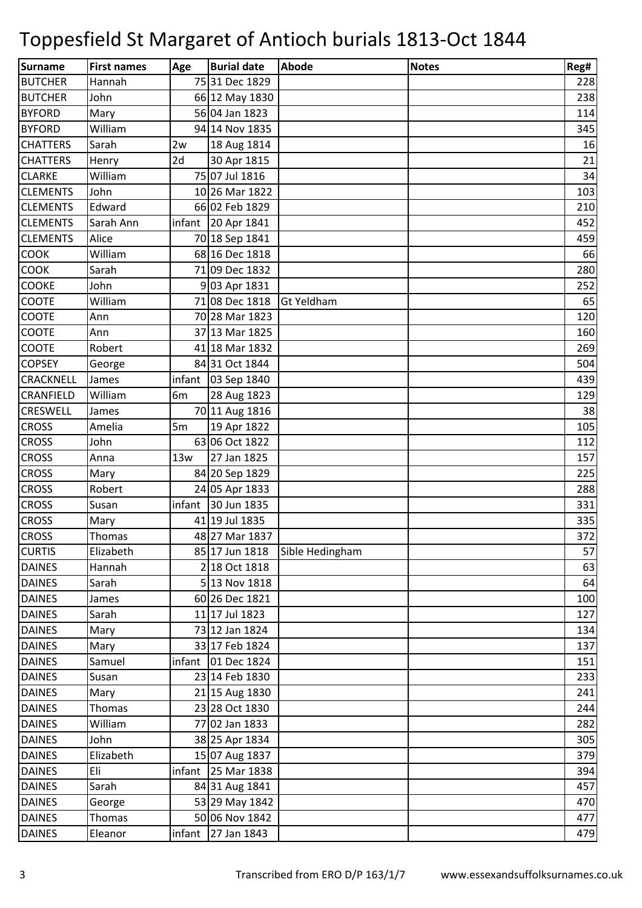| Surname          | <b>First names</b> | Age    | <b>Burial date</b>   | <b>Abode</b>      | <b>Notes</b> | Reg# |
|------------------|--------------------|--------|----------------------|-------------------|--------------|------|
| <b>BUTCHER</b>   | Hannah             |        | 75 31 Dec 1829       |                   |              | 228  |
| <b>BUTCHER</b>   | John               |        | 66 12 May 1830       |                   |              | 238  |
| <b>BYFORD</b>    | Mary               |        | 56 04 Jan 1823       |                   |              | 114  |
| <b>BYFORD</b>    | William            |        | 94 14 Nov 1835       |                   |              | 345  |
| <b>CHATTERS</b>  | Sarah              | 2w     | 18 Aug 1814          |                   |              | 16   |
| <b>CHATTERS</b>  | Henry              | 2d     | 30 Apr 1815          |                   |              | 21   |
| <b>CLARKE</b>    | William            |        | 75 07 Jul 1816       |                   |              | 34   |
| <b>CLEMENTS</b>  | John               |        | 10 26 Mar 1822       |                   |              | 103  |
| <b>CLEMENTS</b>  | Edward             |        | 66 02 Feb 1829       |                   |              | 210  |
| <b>CLEMENTS</b>  | Sarah Ann          |        | infant 20 Apr 1841   |                   |              | 452  |
| <b>CLEMENTS</b>  | Alice              |        | 70 18 Sep 1841       |                   |              | 459  |
| <b>COOK</b>      | William            |        | 68 16 Dec 1818       |                   |              | 66   |
| <b>COOK</b>      | Sarah              |        | 71 09 Dec 1832       |                   |              | 280  |
| <b>COOKE</b>     | John               |        | 9 03 Apr 1831        |                   |              | 252  |
| <b>COOTE</b>     | William            |        | 71 08 Dec 1818       | <b>Gt Yeldham</b> |              | 65   |
| <b>COOTE</b>     | Ann                |        | 70 28 Mar 1823       |                   |              | 120  |
| <b>COOTE</b>     | Ann                |        | 37 13 Mar 1825       |                   |              | 160  |
| <b>COOTE</b>     | Robert             |        | 41 18 Mar 1832       |                   |              | 269  |
| <b>COPSEY</b>    | George             |        | 84 31 Oct 1844       |                   |              | 504  |
| <b>CRACKNELL</b> | James              | infant | 03 Sep 1840          |                   |              | 439  |
| <b>CRANFIELD</b> | William            | 6m     | 28 Aug 1823          |                   |              | 129  |
| <b>CRESWELL</b>  | James              |        | 70 11 Aug 1816       |                   |              | 38   |
| <b>CROSS</b>     | Amelia             | 5m     | 19 Apr 1822          |                   |              | 105  |
| <b>CROSS</b>     | John               |        | 63 06 Oct 1822       |                   |              | 112  |
| <b>CROSS</b>     | Anna               | 13w    | 27 Jan 1825          |                   |              | 157  |
| <b>CROSS</b>     | Mary               |        | 84 20 Sep 1829       |                   |              | 225  |
| <b>CROSS</b>     | Robert             |        | 24 05 Apr 1833       |                   |              | 288  |
| <b>CROSS</b>     | Susan              | infant | 30 Jun 1835          |                   |              | 331  |
| <b>CROSS</b>     | Mary               |        | 41 19 Jul 1835       |                   |              | 335  |
| <b>CROSS</b>     | Thomas             |        | 48 27 Mar 1837       |                   |              | 372  |
| <b>CURTIS</b>    | Elizabeth          |        | 85 17 Jun 1818       | Sible Hedingham   |              | 57   |
| <b>DAINES</b>    | Hannah             |        | 2 18 Oct 1818        |                   |              | 63   |
| <b>DAINES</b>    | Sarah              |        | 5 13 Nov 1818        |                   |              | 64   |
| <b>DAINES</b>    | James              |        | 60 26 Dec 1821       |                   |              | 100  |
| <b>DAINES</b>    | Sarah              |        | 11 17 Jul 1823       |                   |              | 127  |
| <b>DAINES</b>    | Mary               |        | 73 12 Jan 1824       |                   |              | 134  |
| <b>DAINES</b>    | Mary               |        | 33 17 Feb 1824       |                   |              | 137  |
| <b>DAINES</b>    | Samuel             | infant | 01 Dec 1824          |                   |              | 151  |
| <b>DAINES</b>    | Susan              |        | 23 14 Feb 1830       |                   |              | 233  |
| <b>DAINES</b>    | Mary               |        | 21 15 Aug 1830       |                   |              | 241  |
| <b>DAINES</b>    | Thomas             |        | 23 28 Oct 1830       |                   |              | 244  |
| <b>DAINES</b>    | William            |        | 77 02 Jan 1833       |                   |              | 282  |
| <b>DAINES</b>    | John               |        | 38 25 Apr 1834       |                   |              | 305  |
| <b>DAINES</b>    | Elizabeth          |        | 15 07 Aug 1837       |                   |              | 379  |
| <b>DAINES</b>    | Eli                |        | infant 25 Mar $1838$ |                   |              | 394  |
| <b>DAINES</b>    | Sarah              |        | 84 31 Aug 1841       |                   |              | 457  |
| <b>DAINES</b>    | George             |        | 53 29 May 1842       |                   |              | 470  |
| <b>DAINES</b>    | Thomas             |        | 50 06 Nov 1842       |                   |              | 477  |
| <b>DAINES</b>    | Eleanor            |        | infant 27 Jan 1843   |                   |              | 479  |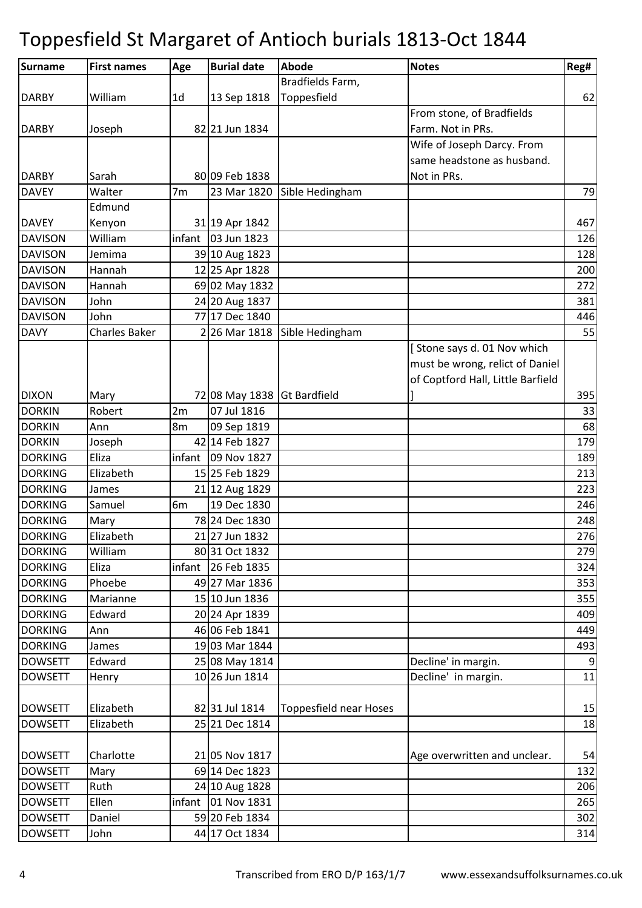| <b>Surname</b> | <b>First names</b>   | Age            | <b>Burial date</b>          | Abode                         | <b>Notes</b>                      | Reg#            |
|----------------|----------------------|----------------|-----------------------------|-------------------------------|-----------------------------------|-----------------|
|                |                      |                |                             | Bradfields Farm,              |                                   |                 |
| <b>DARBY</b>   | William              | 1 <sub>d</sub> | 13 Sep 1818                 | Toppesfield                   |                                   | 62              |
|                |                      |                |                             |                               | From stone, of Bradfields         |                 |
| <b>DARBY</b>   | Joseph               |                | 82 21 Jun 1834              |                               | Farm. Not in PRs.                 |                 |
|                |                      |                |                             |                               | Wife of Joseph Darcy. From        |                 |
|                |                      |                |                             |                               | same headstone as husband.        |                 |
| <b>DARBY</b>   | Sarah                |                | 80 09 Feb 1838              |                               | Not in PRs.                       |                 |
| <b>DAVEY</b>   | Walter               | 7 <sub>m</sub> | 23 Mar 1820                 | Sible Hedingham               |                                   | 79              |
|                | Edmund               |                |                             |                               |                                   |                 |
| <b>DAVEY</b>   | Kenyon               |                | 31 19 Apr 1842              |                               |                                   | 467             |
| <b>DAVISON</b> | William              | infant         | 03 Jun 1823                 |                               |                                   | 126             |
| <b>DAVISON</b> | Jemima               |                | 39 10 Aug 1823              |                               |                                   | 128             |
| <b>DAVISON</b> | Hannah               |                | 12 25 Apr 1828              |                               |                                   | 200             |
| <b>DAVISON</b> | Hannah               |                | 69 02 May 1832              |                               |                                   | 272             |
| <b>DAVISON</b> | John                 |                | 24 20 Aug 1837              |                               |                                   | 381             |
| <b>DAVISON</b> | John                 |                | 77 17 Dec 1840              |                               |                                   | 446             |
| <b>DAVY</b>    | <b>Charles Baker</b> |                | 2 26 Mar 1818               | Sible Hedingham               |                                   | 55              |
|                |                      |                |                             |                               | [Stone says d. 01 Nov which       |                 |
|                |                      |                |                             |                               | must be wrong, relict of Daniel   |                 |
|                |                      |                |                             |                               | of Coptford Hall, Little Barfield |                 |
| <b>DIXON</b>   | Mary                 |                | 72 08 May 1838 Gt Bardfield |                               |                                   | 395             |
| <b>DORKIN</b>  | Robert               | 2m             | 07 Jul 1816                 |                               |                                   | 33              |
| <b>DORKIN</b>  | Ann                  | 8m             | 09 Sep 1819                 |                               |                                   | 68              |
| <b>DORKIN</b>  | Joseph               |                | 42 14 Feb 1827              |                               |                                   | 179             |
| <b>DORKING</b> | Eliza                | infant         | 09 Nov 1827                 |                               |                                   | 189             |
| <b>DORKING</b> | Elizabeth            |                | 15 25 Feb 1829              |                               |                                   | 213             |
| <b>DORKING</b> | James                |                | 21 12 Aug 1829              |                               |                                   | 223             |
| <b>DORKING</b> | Samuel               | 6 <sub>m</sub> | 19 Dec 1830                 |                               |                                   | 246             |
| <b>DORKING</b> | Mary                 |                | 78 24 Dec 1830              |                               |                                   | 248             |
| <b>DORKING</b> | Elizabeth            |                | 21 27 Jun 1832              |                               |                                   | 276             |
| <b>DORKING</b> | William              |                | 80 31 Oct 1832              |                               |                                   | 279             |
| <b>DORKING</b> | Eliza                |                | infant 26 Feb 1835          |                               |                                   | 324             |
| <b>DORKING</b> | Phoebe               |                | 49 27 Mar 1836              |                               |                                   | 353             |
| <b>DORKING</b> | Marianne             |                | 15 10 Jun 1836              |                               |                                   | 355             |
| <b>DORKING</b> | Edward               |                | 20 24 Apr 1839              |                               |                                   | 409             |
| <b>DORKING</b> | Ann                  |                | 46 06 Feb 1841              |                               |                                   | 449             |
| <b>DORKING</b> | James                |                | 19 03 Mar 1844              |                               |                                   | 493             |
| <b>DOWSETT</b> | Edward               |                | 25 08 May 1814              |                               | Decline' in margin.               |                 |
| <b>DOWSETT</b> | Henry                |                | 10 26 Jun 1814              |                               | Decline' in margin.               | $\overline{11}$ |
| <b>DOWSETT</b> | Elizabeth            |                | 82 31 Jul 1814              | <b>Toppesfield near Hoses</b> |                                   | 15              |
| <b>DOWSETT</b> | Elizabeth            |                | 25 21 Dec 1814              |                               |                                   | 18              |
|                |                      |                |                             |                               |                                   |                 |
| <b>DOWSETT</b> | Charlotte            |                | 21 05 Nov 1817              |                               | Age overwritten and unclear.      | 54              |
| <b>DOWSETT</b> | Mary                 |                | 69 14 Dec 1823              |                               |                                   | 132             |
| <b>DOWSETT</b> | Ruth                 |                | 24 10 Aug 1828              |                               |                                   | 206             |
| <b>DOWSETT</b> | Ellen                |                | infant 01 Nov 1831          |                               |                                   | 265             |
| <b>DOWSETT</b> | Daniel               |                | 59 20 Feb 1834              |                               |                                   | 302             |
| <b>DOWSETT</b> | John                 |                | 44 17 Oct 1834              |                               |                                   | 314             |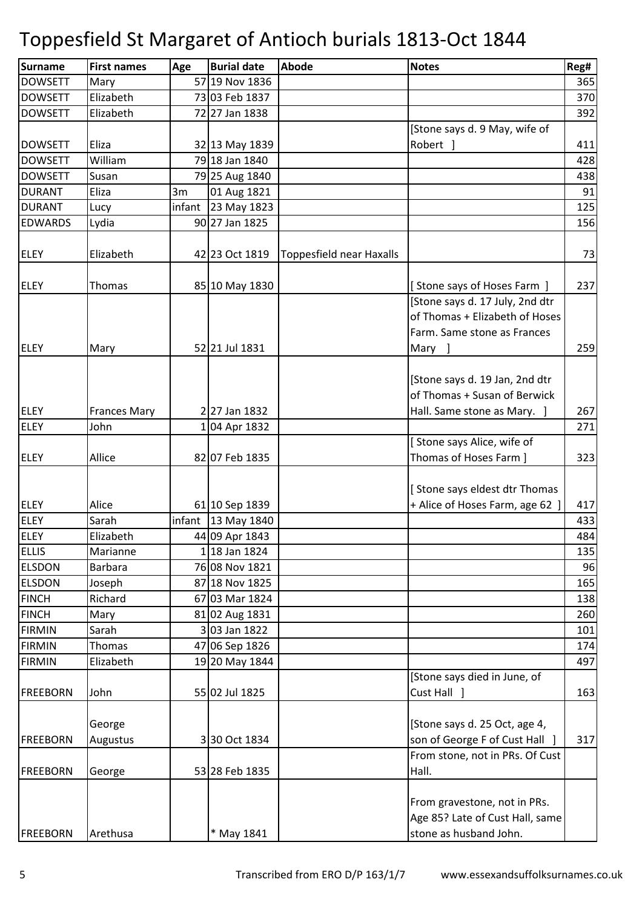| <b>Surname</b>  | <b>First names</b>  | Age    | <b>Burial date</b> | Abode                           | <b>Notes</b>                    | Reg# |
|-----------------|---------------------|--------|--------------------|---------------------------------|---------------------------------|------|
| <b>DOWSETT</b>  | Mary                |        | 57 19 Nov 1836     |                                 |                                 | 365  |
| <b>DOWSETT</b>  | Elizabeth           |        | 73 03 Feb 1837     |                                 |                                 | 370  |
| <b>DOWSETT</b>  | Elizabeth           |        | 72 27 Jan 1838     |                                 |                                 | 392  |
|                 |                     |        |                    |                                 | [Stone says d. 9 May, wife of   |      |
| <b>DOWSETT</b>  | Eliza               |        | 32 13 May 1839     |                                 | Robert ]                        | 411  |
| <b>DOWSETT</b>  | William             |        | 79 18 Jan 1840     |                                 |                                 | 428  |
| <b>DOWSETT</b>  | Susan               |        | 79 25 Aug 1840     |                                 |                                 | 438  |
| <b>DURANT</b>   | Eliza               | 3m     | 01 Aug 1821        |                                 |                                 | 91   |
| <b>DURANT</b>   | Lucy                | infant | 23 May 1823        |                                 |                                 | 125  |
| <b>EDWARDS</b>  | Lydia               |        | 90 27 Jan 1825     |                                 |                                 | 156  |
|                 |                     |        |                    |                                 |                                 |      |
| <b>ELEY</b>     | Elizabeth           |        | 42 23 Oct 1819     | <b>Toppesfield near Haxalls</b> |                                 | 73   |
|                 |                     |        |                    |                                 |                                 |      |
| <b>ELEY</b>     | Thomas              |        | 85 10 May 1830     |                                 | [Stone says of Hoses Farm ]     | 237  |
|                 |                     |        |                    |                                 | [Stone says d. 17 July, 2nd dtr |      |
|                 |                     |        |                    |                                 | of Thomas + Elizabeth of Hoses  |      |
|                 |                     |        |                    |                                 | Farm. Same stone as Frances     |      |
| <b>ELEY</b>     | Mary                |        | 52 21 Jul 1831     |                                 | Mary ]                          | 259  |
|                 |                     |        |                    |                                 |                                 |      |
|                 |                     |        |                    |                                 | [Stone says d. 19 Jan, 2nd dtr  |      |
|                 |                     |        |                    |                                 | of Thomas + Susan of Berwick    |      |
| <b>ELEY</b>     | <b>Frances Mary</b> |        | 227 Jan 1832       |                                 | Hall. Same stone as Mary. ]     | 267  |
| <b>ELEY</b>     | John                |        | 04 Apr 1832        |                                 |                                 | 271  |
|                 |                     |        |                    |                                 | [Stone says Alice, wife of      |      |
| <b>ELEY</b>     | Allice              |        | 82 07 Feb 1835     |                                 | Thomas of Hoses Farm ]          | 323  |
|                 |                     |        |                    |                                 |                                 |      |
|                 |                     |        |                    |                                 | [Stone says eldest dtr Thomas   |      |
| <b>ELEY</b>     | Alice               |        | 61 10 Sep 1839     |                                 | + Alice of Hoses Farm, age 62 ] | 417  |
| <b>ELEY</b>     | Sarah               | infant | 13 May 1840        |                                 |                                 | 433  |
| <b>ELEY</b>     | Elizabeth           |        | 44 09 Apr 1843     |                                 |                                 | 484  |
| <b>ELLIS</b>    | Marianne            |        | 1 18 Jan 1824      |                                 |                                 | 135  |
| <b>ELSDON</b>   | <b>Barbara</b>      |        | 76 08 Nov 1821     |                                 |                                 | 96   |
| <b>ELSDON</b>   | Joseph              |        | 87 18 Nov 1825     |                                 |                                 | 165  |
| <b>FINCH</b>    | Richard             |        | 67 03 Mar 1824     |                                 |                                 | 138  |
| <b>FINCH</b>    | Mary                |        | 81 02 Aug 1831     |                                 |                                 | 260  |
| <b>FIRMIN</b>   | Sarah               |        | 3 03 Jan 1822      |                                 |                                 | 101  |
| <b>FIRMIN</b>   | <b>Thomas</b>       |        | 47 06 Sep 1826     |                                 |                                 | 174  |
| <b>FIRMIN</b>   | Elizabeth           |        | 19 20 May 1844     |                                 |                                 | 497  |
|                 |                     |        |                    |                                 | [Stone says died in June, of    |      |
| <b>FREEBORN</b> | John                |        | 55 02 Jul 1825     |                                 | Cust Hall ]                     | 163  |
|                 |                     |        |                    |                                 |                                 |      |
|                 | George              |        |                    |                                 | [Stone says d. 25 Oct, age 4,   |      |
| <b>FREEBORN</b> | Augustus            |        | 330 Oct 1834       |                                 | son of George F of Cust Hall ]  | 317  |
|                 |                     |        |                    |                                 | From stone, not in PRs. Of Cust |      |
| <b>FREEBORN</b> | George              |        | 53 28 Feb 1835     |                                 | Hall.                           |      |
|                 |                     |        |                    |                                 |                                 |      |
|                 |                     |        |                    |                                 | From gravestone, not in PRs.    |      |
|                 |                     |        |                    |                                 | Age 85? Late of Cust Hall, same |      |
| <b>FREEBORN</b> | Arethusa            |        | * May 1841         |                                 | stone as husband John.          |      |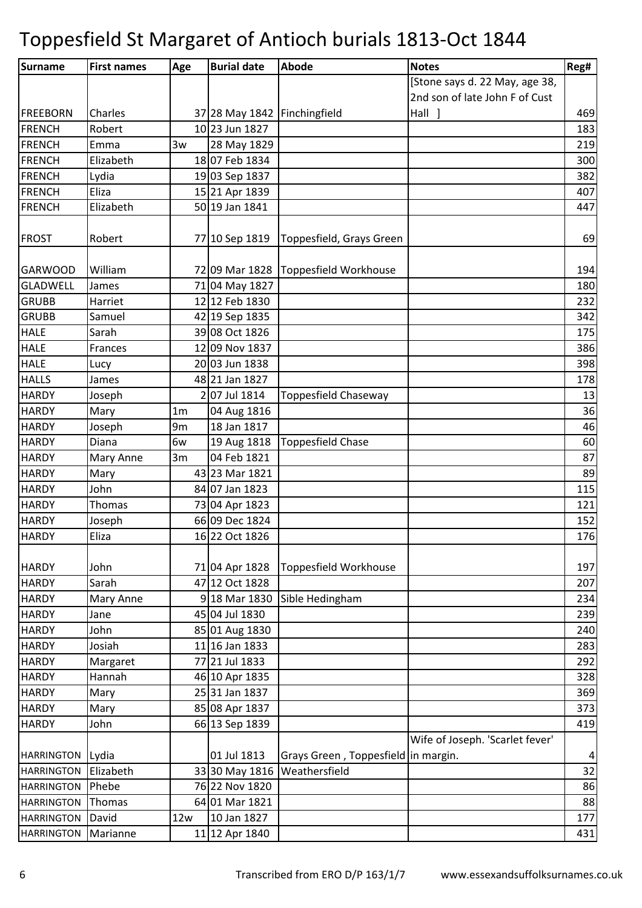| <b>Surname</b>                  | <b>First names</b> | Age                  | <b>Burial date</b>               | <b>Abode</b>                        | <b>Notes</b>                    | Reg#       |
|---------------------------------|--------------------|----------------------|----------------------------------|-------------------------------------|---------------------------------|------------|
|                                 |                    |                      |                                  |                                     | [Stone says d. 22 May, age 38,  |            |
|                                 |                    |                      |                                  |                                     | 2nd son of late John F of Cust  |            |
| <b>FREEBORN</b>                 | Charles            |                      | 37 28 May 1842 Finchingfield     |                                     | Hall ]                          | 469        |
| <b>FRENCH</b>                   | Robert             |                      | 10 23 Jun 1827                   |                                     |                                 | 183        |
| <b>FRENCH</b>                   | Emma               | 3w                   | 28 May 1829                      |                                     |                                 | 219        |
| <b>FRENCH</b>                   | Elizabeth          |                      | 1807 Feb 1834                    |                                     |                                 | 300        |
| <b>FRENCH</b>                   | Lydia              |                      | 19 03 Sep 1837                   |                                     |                                 | 382        |
| <b>FRENCH</b>                   | Eliza              |                      | 15 21 Apr 1839                   |                                     |                                 | 407        |
| <b>FRENCH</b>                   | Elizabeth          |                      | 50 19 Jan 1841                   |                                     |                                 | 447        |
|                                 |                    |                      |                                  |                                     |                                 |            |
| <b>FROST</b>                    | Robert             |                      | 77 10 Sep 1819                   | Toppesfield, Grays Green            |                                 | 69         |
|                                 |                    |                      |                                  |                                     |                                 |            |
| <b>GARWOOD</b>                  | William            |                      | 72 09 Mar 1828                   | Toppesfield Workhouse               |                                 | 194        |
| <b>GLADWELL</b><br><b>GRUBB</b> | James              |                      | 71 04 May 1827                   |                                     |                                 | 180        |
|                                 | Harriet            |                      | 12 12 Feb 1830                   |                                     |                                 | 232        |
| <b>GRUBB</b>                    | Samuel             |                      | 42 19 Sep 1835                   |                                     |                                 | 342        |
| <b>HALE</b><br><b>HALE</b>      | Sarah              |                      | 39 08 Oct 1826                   |                                     |                                 | 175        |
|                                 | Frances            |                      | 12 09 Nov 1837<br>20 03 Jun 1838 |                                     |                                 | 386        |
| <b>HALE</b><br><b>HALLS</b>     | Lucy               |                      | 48 21 Jan 1827                   |                                     |                                 | 398<br>178 |
| <b>HARDY</b>                    | James              |                      | 2 07 Jul 1814                    | Toppesfield Chaseway                |                                 | 13         |
| <b>HARDY</b>                    | Joseph             | 1 <sub>m</sub>       | 04 Aug 1816                      |                                     |                                 | 36         |
|                                 | Mary               |                      | 18 Jan 1817                      |                                     |                                 |            |
| <b>HARDY</b><br><b>HARDY</b>    | Joseph<br>Diana    | 9 <sub>m</sub><br>6w |                                  |                                     |                                 | 46<br>60   |
| <b>HARDY</b>                    |                    |                      | 19 Aug 1818<br>04 Feb 1821       | <b>Toppesfield Chase</b>            |                                 | 87         |
| <b>HARDY</b>                    | Mary Anne          | 3m                   | 43 23 Mar 1821                   |                                     |                                 | 89         |
| <b>HARDY</b>                    | Mary<br>John       |                      | 84 07 Jan 1823                   |                                     |                                 | 115        |
| <b>HARDY</b>                    | Thomas             |                      | 73 04 Apr 1823                   |                                     |                                 | 121        |
| <b>HARDY</b>                    | Joseph             |                      | 66 09 Dec 1824                   |                                     |                                 | 152        |
|                                 | Eliza              |                      | 16 22 Oct 1826                   |                                     |                                 |            |
| <b>HARDY</b>                    |                    |                      |                                  |                                     |                                 | 176        |
| <b>HARDY</b>                    | John               |                      | 71 04 Apr 1828                   | Toppesfield Workhouse               |                                 | 197        |
| <b>HARDY</b>                    | Sarah              |                      | 47 12 Oct 1828                   |                                     |                                 | 207        |
| <b>HARDY</b>                    | Mary Anne          |                      | 9 18 Mar 1830                    | Sible Hedingham                     |                                 | 234        |
| <b>HARDY</b>                    | Jane               |                      | 45 04 Jul 1830                   |                                     |                                 | 239        |
| <b>HARDY</b>                    | John               |                      | 85 01 Aug 1830                   |                                     |                                 | 240        |
| <b>HARDY</b>                    | Josiah             |                      | 11 16 Jan 1833                   |                                     |                                 | 283        |
| <b>HARDY</b>                    | Margaret           |                      | 77 21 Jul 1833                   |                                     |                                 | 292        |
| <b>HARDY</b>                    | Hannah             |                      | 46 10 Apr 1835                   |                                     |                                 | 328        |
| <b>HARDY</b>                    | Mary               |                      | 25 31 Jan 1837                   |                                     |                                 | 369        |
| <b>HARDY</b>                    | Mary               |                      | 85 08 Apr 1837                   |                                     |                                 | 373        |
| <b>HARDY</b>                    | John               |                      | 66 13 Sep 1839                   |                                     |                                 | 419        |
|                                 |                    |                      |                                  |                                     | Wife of Joseph. 'Scarlet fever' |            |
| <b>HARRINGTON</b>               | Lydia              |                      | 01 Jul 1813                      | Grays Green, Toppesfield in margin. |                                 | 4          |
| <b>HARRINGTON</b>               | Elizabeth          |                      | 33 30 May 1816                   | Weathersfield                       |                                 | 32         |
| <b>HARRINGTON</b>               | Phebe              |                      | 76 22 Nov 1820                   |                                     |                                 | 86         |
| <b>HARRINGTON</b>               | Thomas             |                      | 64 01 Mar 1821                   |                                     |                                 | 88         |
| <b>HARRINGTON</b>               | David              | 12w                  | 10 Jan 1827                      |                                     |                                 | 177        |
| <b>HARRINGTON</b>               | Marianne           |                      | 11 12 Apr 1840                   |                                     |                                 | 431        |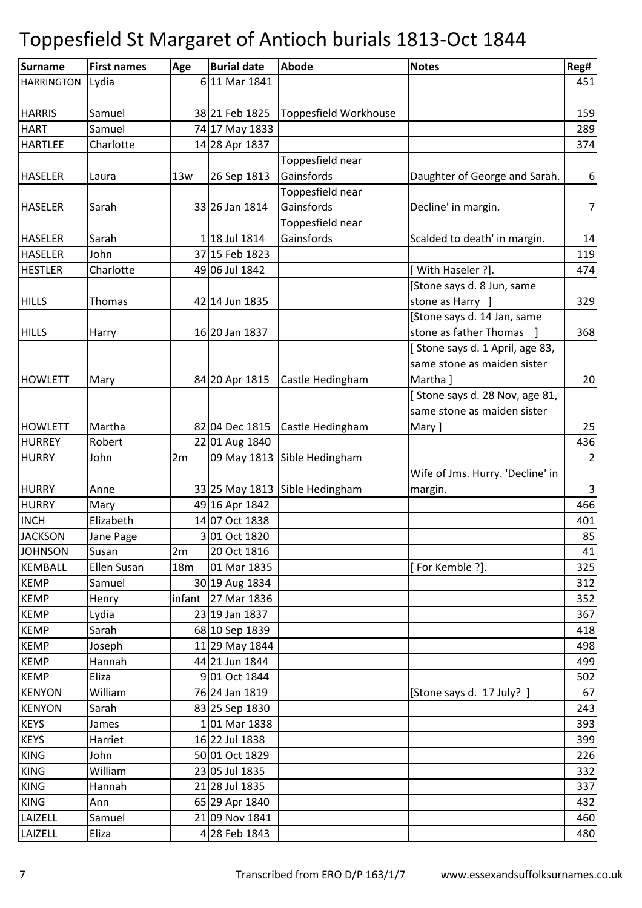| <b>Surname</b>    | <b>First names</b> | Age | <b>Burial date</b>   | Abode                          | <b>Notes</b>                     | Reg# |
|-------------------|--------------------|-----|----------------------|--------------------------------|----------------------------------|------|
| <b>HARRINGTON</b> | Lydia              |     | 6 11 Mar 1841        |                                |                                  | 451  |
|                   |                    |     |                      |                                |                                  |      |
| <b>HARRIS</b>     | Samuel             |     | 38 21 Feb 1825       | <b>Toppesfield Workhouse</b>   |                                  | 159  |
| <b>HART</b>       | Samuel             |     | 74 17 May 1833       |                                |                                  | 289  |
| <b>HARTLEE</b>    | Charlotte          |     | 14 28 Apr 1837       |                                |                                  | 374  |
|                   |                    |     |                      | Toppesfield near               |                                  |      |
| <b>HASELER</b>    | Laura              | 13w | 26 Sep 1813          | Gainsfords                     | Daughter of George and Sarah.    | 6    |
|                   |                    |     |                      | Toppesfield near               |                                  |      |
| <b>HASELER</b>    | Sarah              |     | 33 26 Jan 1814       | Gainsfords                     | Decline' in margin.              | 7    |
|                   |                    |     |                      | Toppesfield near               |                                  |      |
| <b>HASELER</b>    | Sarah              |     | 1 18 Jul 1814        | Gainsfords                     | Scalded to death' in margin.     | 14   |
| <b>HASELER</b>    | John               |     | 37 15 Feb 1823       |                                |                                  | 119  |
| <b>HESTLER</b>    | Charlotte          |     | 49 06 Jul 1842       |                                | [With Haseler ?].                | 474  |
|                   |                    |     |                      |                                | [Stone says d. 8 Jun, same       |      |
| <b>HILLS</b>      | <b>Thomas</b>      |     | 42 14 Jun 1835       |                                | stone as Harry ]                 | 329  |
|                   |                    |     |                      |                                | [Stone says d. 14 Jan, same      |      |
| <b>HILLS</b>      | Harry              |     | 16 20 Jan 1837       |                                | stone as father Thomas           | 368  |
|                   |                    |     |                      |                                | [Stone says d. 1 April, age 83,  |      |
|                   |                    |     |                      |                                | same stone as maiden sister      |      |
| <b>HOWLETT</b>    | Mary               |     | 84 20 Apr 1815       | Castle Hedingham               | Martha ]                         | 20   |
|                   |                    |     |                      |                                | [Stone says d. 28 Nov, age 81,   |      |
|                   |                    |     |                      |                                | same stone as maiden sister      |      |
| <b>HOWLETT</b>    | Martha             |     | 82 04 Dec 1815       | Castle Hedingham               | Mary ]                           | 25   |
| <b>HURREY</b>     | Robert             |     | 22 01 Aug 1840       |                                |                                  | 436  |
| <b>HURRY</b>      | John               | 2m  | 09 May 1813          | Sible Hedingham                |                                  | 2    |
|                   |                    |     |                      |                                | Wife of Jms. Hurry. 'Decline' in |      |
| <b>HURRY</b>      | Anne               |     |                      | 33 25 May 1813 Sible Hedingham | margin.                          | 3    |
| <b>HURRY</b>      | Mary               |     | 49 16 Apr 1842       |                                |                                  | 466  |
| <b>INCH</b>       | Elizabeth          |     | 14 07 Oct 1838       |                                |                                  | 401  |
| <b>JACKSON</b>    | Jane Page          |     | 3 01 Oct 1820        |                                |                                  | 85   |
| <b>JOHNSON</b>    | Susan              | 2m  | 20 Oct 1816          |                                |                                  | 41   |
| <b>KEMBALL</b>    | Ellen Susan        | 18m | 01 Mar 1835          |                                | [For Kemble ?].                  | 325  |
| <b>KEMP</b>       | Samuel             |     | 30 19 Aug 1834       |                                |                                  | 312  |
| <b>KEMP</b>       | Henry              |     | infant 27 Mar $1836$ |                                |                                  | 352  |
| <b>KEMP</b>       | Lydia              |     | 23 19 Jan 1837       |                                |                                  | 367  |
| <b>KEMP</b>       | Sarah              |     | 68 10 Sep 1839       |                                |                                  | 418  |
| <b>KEMP</b>       | Joseph             |     | 11 29 May 1844       |                                |                                  | 498  |
| <b>KEMP</b>       | Hannah             |     | 44 21 Jun 1844       |                                |                                  | 499  |
| <b>KEMP</b>       | Eliza              |     | 9 01 Oct 1844        |                                |                                  | 502  |
| <b>KENYON</b>     | William            |     | 76 24 Jan 1819       |                                | [Stone says d. 17 July? ]        | 67   |
| <b>KENYON</b>     | Sarah              |     | 83 25 Sep 1830       |                                |                                  | 243  |
| <b>KEYS</b>       | James              |     | 101 Mar 1838         |                                |                                  | 393  |
| <b>KEYS</b>       | Harriet            |     | 16 22 Jul 1838       |                                |                                  | 399  |
| <b>KING</b>       | John               |     | 50 01 Oct 1829       |                                |                                  | 226  |
| <b>KING</b>       | William            |     | 23 05 Jul 1835       |                                |                                  | 332  |
| <b>KING</b>       | Hannah             |     | 21 28 Jul 1835       |                                |                                  | 337  |
| <b>KING</b>       | Ann                |     | 65 29 Apr 1840       |                                |                                  | 432  |
| LAIZELL           | Samuel             |     | 21 09 Nov 1841       |                                |                                  | 460  |
| LAIZELL           | Eliza              |     | 4 28 Feb 1843        |                                |                                  | 480  |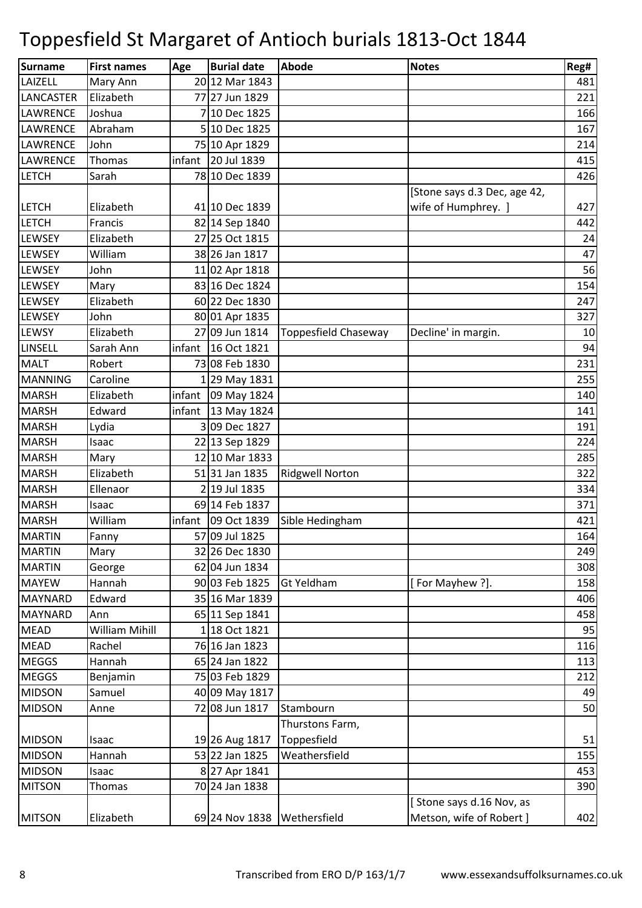| Surname          | <b>First names</b> | Age    | <b>Burial date</b> | Abode                  | <b>Notes</b>                 | Reg# |
|------------------|--------------------|--------|--------------------|------------------------|------------------------------|------|
| LAIZELL          | Mary Ann           |        | 20 12 Mar 1843     |                        |                              | 481  |
| <b>LANCASTER</b> | Elizabeth          |        | 77 27 Jun 1829     |                        |                              | 221  |
| LAWRENCE         | Joshua             |        | 7 10 Dec 1825      |                        |                              | 166  |
| <b>LAWRENCE</b>  | Abraham            |        | 5 10 Dec 1825      |                        |                              | 167  |
| LAWRENCE         | John               |        | 75 10 Apr 1829     |                        |                              | 214  |
| LAWRENCE         | Thomas             | infant | 20 Jul 1839        |                        |                              | 415  |
| <b>LETCH</b>     | Sarah              |        | 78 10 Dec 1839     |                        |                              | 426  |
|                  |                    |        |                    |                        | [Stone says d.3 Dec, age 42, |      |
| <b>LETCH</b>     | Elizabeth          |        | 41 10 Dec 1839     |                        | wife of Humphrey. ]          | 427  |
| <b>LETCH</b>     | Francis            |        | 82 14 Sep 1840     |                        |                              | 442  |
| LEWSEY           | Elizabeth          |        | 27 25 Oct 1815     |                        |                              | 24   |
| <b>LEWSEY</b>    | William            |        | 38 26 Jan 1817     |                        |                              | 47   |
| LEWSEY           | John               |        | 11 02 Apr 1818     |                        |                              | 56   |
| LEWSEY           | Mary               |        | 83 16 Dec 1824     |                        |                              | 154  |
| LEWSEY           | Elizabeth          |        | 60 22 Dec 1830     |                        |                              | 247  |
| <b>LEWSEY</b>    | John               |        | 80 01 Apr 1835     |                        |                              | 327  |
| <b>LEWSY</b>     | Elizabeth          |        | 27 09 Jun 1814     | Toppesfield Chaseway   | Decline' in margin.          | 10   |
| <b>LINSELL</b>   | Sarah Ann          | infant | 16 Oct 1821        |                        |                              | 94   |
| <b>MALT</b>      | Robert             |        | 73 08 Feb 1830     |                        |                              | 231  |
| <b>MANNING</b>   | Caroline           |        | 1 29 May 1831      |                        |                              | 255  |
| <b>MARSH</b>     | Elizabeth          | infant | 09 May 1824        |                        |                              | 140  |
| <b>MARSH</b>     | Edward             | infant | 13 May 1824        |                        |                              | 141  |
| <b>MARSH</b>     | Lydia              |        | 309 Dec 1827       |                        |                              | 191  |
| <b>MARSH</b>     | Isaac              |        | 22 13 Sep 1829     |                        |                              | 224  |
| <b>MARSH</b>     | Mary               |        | 12 10 Mar 1833     |                        |                              | 285  |
| <b>MARSH</b>     | Elizabeth          |        | 51 31 Jan 1835     | <b>Ridgwell Norton</b> |                              | 322  |
| <b>MARSH</b>     | Ellenaor           |        | 2 19 Jul 1835      |                        |                              | 334  |
| <b>MARSH</b>     | Isaac              |        | 69 14 Feb 1837     |                        |                              | 371  |
| <b>MARSH</b>     | William            | infant | 09 Oct 1839        | Sible Hedingham        |                              | 421  |
| <b>MARTIN</b>    | Fanny              |        | 57 09 Jul 1825     |                        |                              | 164  |
| <b>MARTIN</b>    | Mary               |        | 32 26 Dec 1830     |                        |                              | 249  |
| <b>MARTIN</b>    | George             |        | 62 04 Jun 1834     |                        |                              | 308  |
| <b>MAYEW</b>     | Hannah             |        | 90 03 Feb 1825     | <b>Gt Yeldham</b>      | [For Mayhew ?].              | 158  |
| <b>MAYNARD</b>   | Edward             |        | 35 16 Mar 1839     |                        |                              | 406  |
| <b>MAYNARD</b>   | Ann                |        | 65 11 Sep 1841     |                        |                              | 458  |
| <b>MEAD</b>      | William Mihill     |        | 1 18 Oct 1821      |                        |                              | 95   |
| <b>MEAD</b>      | Rachel             |        | 76 16 Jan 1823     |                        |                              | 116  |
| <b>MEGGS</b>     | Hannah             |        | 65 24 Jan 1822     |                        |                              | 113  |
| <b>MEGGS</b>     | Benjamin           |        | 75 03 Feb 1829     |                        |                              | 212  |
| <b>MIDSON</b>    | Samuel             |        | 40 09 May 1817     |                        |                              | 49   |
| <b>MIDSON</b>    | Anne               |        | 72 08 Jun 1817     | Stambourn              |                              | 50   |
|                  |                    |        |                    | Thurstons Farm,        |                              |      |
| <b>MIDSON</b>    | Isaac              |        | 19 26 Aug 1817     | Toppesfield            |                              | 51   |
| <b>MIDSON</b>    | Hannah             |        | 53 22 Jan 1825     | Weathersfield          |                              | 155  |
| <b>MIDSON</b>    | Isaac              |        | 8 27 Apr 1841      |                        |                              | 453  |
| <b>MITSON</b>    | Thomas             |        | 70 24 Jan 1838     |                        |                              | 390  |
|                  |                    |        |                    |                        | Stone says d.16 Nov, as      |      |
| <b>MITSON</b>    | Elizabeth          |        | 69 24 Nov 1838     | Wethersfield           | Metson, wife of Robert ]     | 402  |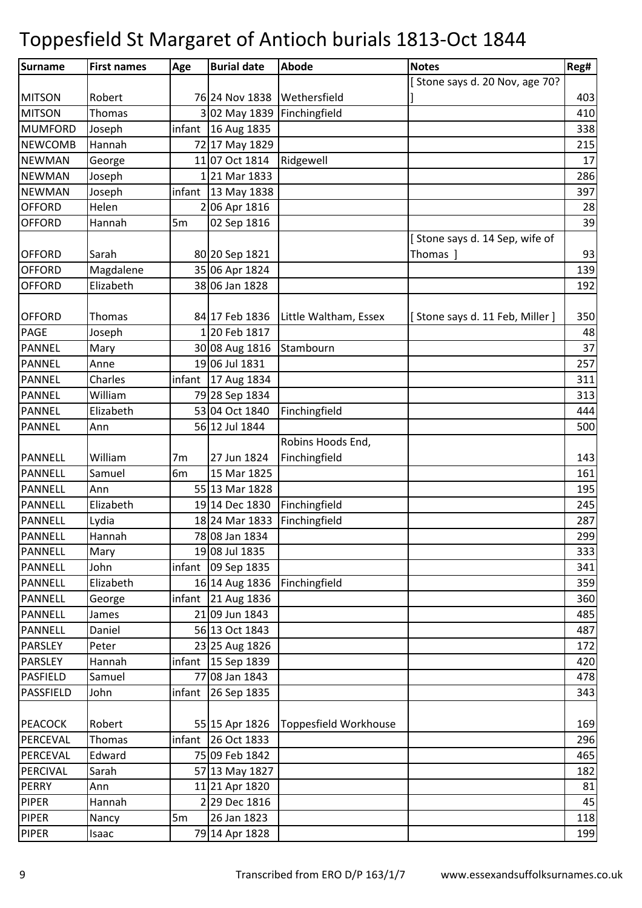| Surname         | <b>First names</b> | Age            | <b>Burial date</b>   | Abode                 | <b>Notes</b>                   | Reg# |
|-----------------|--------------------|----------------|----------------------|-----------------------|--------------------------------|------|
|                 |                    |                |                      |                       | [Stone says d. 20 Nov, age 70? |      |
| <b>MITSON</b>   | Robert             |                | 76 24 Nov 1838       | Wethersfield          |                                | 403  |
| <b>MITSON</b>   | Thomas             |                | 3 02 May 1839        | Finchingfield         |                                | 410  |
| <b>MUMFORD</b>  | Joseph             |                | infant $16$ Aug 1835 |                       |                                | 338  |
| <b>NEWCOMB</b>  | Hannah             |                | 72 17 May 1829       |                       |                                | 215  |
| <b>NEWMAN</b>   | George             |                | 11 07 Oct 1814       | Ridgewell             |                                | 17   |
| <b>NEWMAN</b>   | Joseph             |                | 121 Mar 1833         |                       |                                | 286  |
| <b>NEWMAN</b>   | Joseph             | infant         | 13 May 1838          |                       |                                | 397  |
| <b>OFFORD</b>   | Helen              |                | 206 Apr 1816         |                       |                                | 28   |
| <b>OFFORD</b>   | Hannah             | 5m             | 02 Sep 1816          |                       |                                | 39   |
|                 |                    |                |                      |                       | Stone says d. 14 Sep, wife of  |      |
| <b>OFFORD</b>   | Sarah              |                | 80 20 Sep 1821       |                       | Thomas ]                       | 93   |
| <b>OFFORD</b>   | Magdalene          |                | 35 06 Apr 1824       |                       |                                | 139  |
| <b>OFFORD</b>   | Elizabeth          |                | 38 06 Jan 1828       |                       |                                | 192  |
|                 |                    |                |                      |                       |                                |      |
| <b>OFFORD</b>   | Thomas             |                | 84 17 Feb 1836       | Little Waltham, Essex | [Stone says d. 11 Feb, Miller] | 350  |
| PAGE            | Joseph             |                | 120 Feb 1817         |                       |                                | 48   |
| <b>PANNEL</b>   | Mary               |                | 30 08 Aug 1816       | Stambourn             |                                | 37   |
| <b>PANNEL</b>   | Anne               |                | 19 06 Jul 1831       |                       |                                | 257  |
| <b>PANNEL</b>   | Charles            | infant         | 17 Aug 1834          |                       |                                | 311  |
| <b>PANNEL</b>   | William            |                | 79 28 Sep 1834       |                       |                                | 313  |
| <b>PANNEL</b>   | Elizabeth          |                | 53 04 Oct 1840       | Finchingfield         |                                | 444  |
| <b>PANNEL</b>   | Ann                |                | 56 12 Jul 1844       |                       |                                | 500  |
|                 |                    |                |                      | Robins Hoods End,     |                                |      |
| <b>PANNELL</b>  | William            | 7m             | 27 Jun 1824          | Finchingfield         |                                | 143  |
| PANNELL         | Samuel             | 6 <sub>m</sub> | 15 Mar 1825          |                       |                                | 161  |
| <b>PANNELL</b>  | Ann                |                | 55 13 Mar 1828       |                       |                                | 195  |
| <b>PANNELL</b>  | Elizabeth          |                | 19 14 Dec 1830       | Finchingfield         |                                | 245  |
| <b>PANNELL</b>  | Lydia              |                | 18 24 Mar 1833       | Finchingfield         |                                | 287  |
| <b>PANNELL</b>  | Hannah             |                | 78 08 Jan 1834       |                       |                                | 299  |
| PANNELL         | Mary               |                | 19 08 Jul 1835       |                       |                                | 333  |
| PANNELL         | John               | infant         | 09 Sep 1835          |                       |                                | 341  |
| PANNELL         | Elizabeth          |                | 16 14 Aug 1836       | Finchingfield         |                                | 359  |
| <b>PANNELL</b>  | George             |                | infant 21 Aug $1836$ |                       |                                | 360  |
| <b>PANNELL</b>  | James              |                | 21 09 Jun 1843       |                       |                                | 485  |
| <b>PANNELL</b>  | Daniel             |                | 56 13 Oct 1843       |                       |                                | 487  |
| <b>PARSLEY</b>  | Peter              |                | 23 25 Aug 1826       |                       |                                | 172  |
| <b>PARSLEY</b>  | Hannah             |                | infant $15$ Sep 1839 |                       |                                | 420  |
| <b>PASFIELD</b> | Samuel             |                | 77 08 Jan 1843       |                       |                                | 478  |
| PASSFIELD       | John               |                | infant 26 Sep 1835   |                       |                                | 343  |
|                 |                    |                |                      |                       |                                |      |
| <b>PEACOCK</b>  | Robert             |                | 55 15 Apr 1826       | Toppesfield Workhouse |                                | 169  |
| PERCEVAL        | Thomas             | infant         | 26 Oct 1833          |                       |                                | 296  |
| PERCEVAL        | Edward             |                | 75 09 Feb 1842       |                       |                                | 465  |
| PERCIVAL        | Sarah              |                | 57 13 May 1827       |                       |                                | 182  |
| <b>PERRY</b>    | Ann                |                | 11 21 Apr 1820       |                       |                                | 81   |
| <b>PIPER</b>    | Hannah             |                | 2 29 Dec 1816        |                       |                                | 45   |
| PIPER           | Nancy              | 5m             | 26 Jan 1823          |                       |                                | 118  |
| <b>PIPER</b>    | Isaac              |                | 79 14 Apr 1828       |                       |                                | 199  |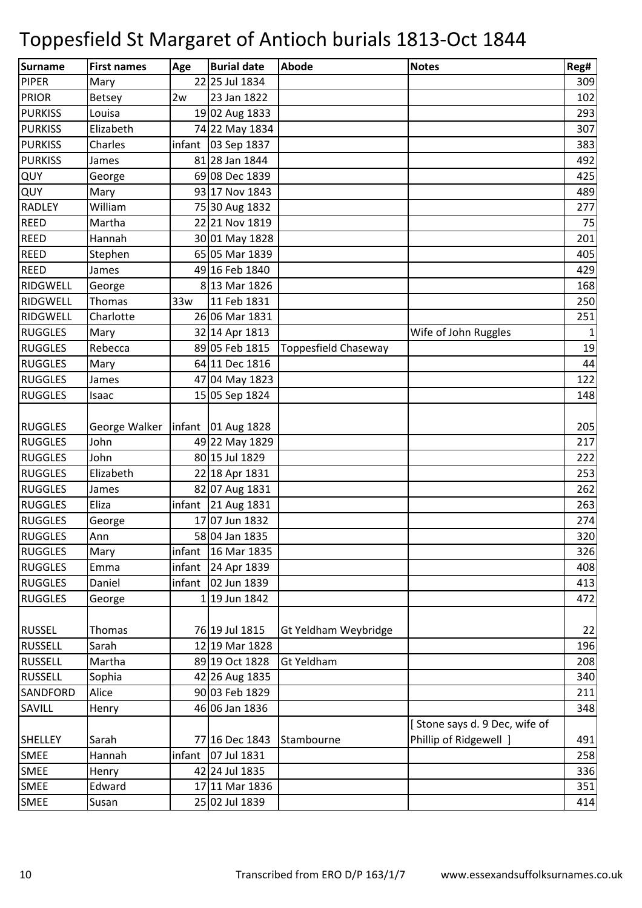| Surname         | <b>First names</b> | Age    | <b>Burial date</b>         | <b>Abode</b>                | <b>Notes</b>                  | Reg# |
|-----------------|--------------------|--------|----------------------------|-----------------------------|-------------------------------|------|
| <b>PIPER</b>    | Mary               |        | 22 25 Jul 1834             |                             |                               | 309  |
| <b>PRIOR</b>    | <b>Betsey</b>      | 2w     | 23 Jan 1822                |                             |                               | 102  |
| <b>PURKISS</b>  | Louisa             |        | 19 02 Aug 1833             |                             |                               | 293  |
| <b>PURKISS</b>  | Elizabeth          |        | 74 22 May 1834             |                             |                               | 307  |
| <b>PURKISS</b>  | Charles            |        | infant $\vert$ 03 Sep 1837 |                             |                               | 383  |
| <b>PURKISS</b>  | James              |        | 81 28 Jan 1844             |                             |                               | 492  |
| QUY             | George             |        | 69 08 Dec 1839             |                             |                               | 425  |
| QUY             | Mary               |        | 93 17 Nov 1843             |                             |                               | 489  |
| <b>RADLEY</b>   | William            |        | 75 30 Aug 1832             |                             |                               | 277  |
| <b>REED</b>     | Martha             |        | 22 21 Nov 1819             |                             |                               | 75   |
| REED            | Hannah             |        | 30 01 May 1828             |                             |                               | 201  |
| <b>REED</b>     | Stephen            |        | 65 05 Mar 1839             |                             |                               | 405  |
| <b>REED</b>     | James              |        | 49 16 Feb 1840             |                             |                               | 429  |
| RIDGWELL        | George             |        | 8 13 Mar 1826              |                             |                               | 168  |
| RIDGWELL        | Thomas             | 33w    | 11 Feb 1831                |                             |                               | 250  |
| <b>RIDGWELL</b> | Charlotte          |        | 26 06 Mar 1831             |                             |                               | 251  |
| <b>RUGGLES</b>  | Mary               |        | 32 14 Apr 1813             |                             | Wife of John Ruggles          | 1    |
| <b>RUGGLES</b>  | Rebecca            |        | 89 05 Feb 1815             | <b>Toppesfield Chaseway</b> |                               | 19   |
| <b>RUGGLES</b>  | Mary               |        | 64 11 Dec 1816             |                             |                               | 44   |
| <b>RUGGLES</b>  | James              |        | 47 04 May 1823             |                             |                               | 122  |
| <b>RUGGLES</b>  | Isaac              |        | 15 05 Sep 1824             |                             |                               | 148  |
|                 |                    |        |                            |                             |                               |      |
| <b>RUGGLES</b>  | George Walker      |        | $infant$ 01 Aug 1828       |                             |                               | 205  |
| <b>RUGGLES</b>  | John               |        | 49 22 May 1829             |                             |                               | 217  |
| <b>RUGGLES</b>  | John               |        | 80 15 Jul 1829             |                             |                               | 222  |
| <b>RUGGLES</b>  | Elizabeth          |        | 22 18 Apr 1831             |                             |                               | 253  |
| <b>RUGGLES</b>  | James              |        | 82 07 Aug 1831             |                             |                               | 262  |
| <b>RUGGLES</b>  | Eliza              |        | infant 21 Aug 1831         |                             |                               | 263  |
| <b>RUGGLES</b>  | George             |        | 17 07 Jun 1832             |                             |                               | 274  |
| <b>RUGGLES</b>  | Ann                |        | 58 04 Jan 1835             |                             |                               | 320  |
| RUGGLES         | Mary               | infant | 16 Mar 1835                |                             |                               | 326  |
| <b>RUGGLES</b>  | Emma               | infant | 24 Apr 1839                |                             |                               | 408  |
| <b>RUGGLES</b>  | Daniel             | infant | 02 Jun 1839                |                             |                               | 413  |
| <b>RUGGLES</b>  | George             |        | 1 19 Jun 1842              |                             |                               | 472  |
|                 |                    |        |                            |                             |                               |      |
| <b>RUSSEL</b>   | Thomas             |        | 76 19 Jul 1815             | Gt Yeldham Weybridge        |                               | 22   |
| <b>RUSSELL</b>  | Sarah              |        | 12 19 Mar 1828             |                             |                               | 196  |
| <b>RUSSELL</b>  | Martha             |        | 89 19 Oct 1828             | <b>Gt Yeldham</b>           |                               | 208  |
| <b>RUSSELL</b>  | Sophia             |        | 42 26 Aug 1835             |                             |                               | 340  |
| <b>SANDFORD</b> | Alice              |        | 90 03 Feb 1829             |                             |                               | 211  |
| SAVILL          | Henry              |        | 46 06 Jan 1836             |                             |                               | 348  |
|                 |                    |        |                            |                             | [Stone says d. 9 Dec, wife of |      |
| <b>SHELLEY</b>  | Sarah              |        | 77 16 Dec 1843             | Stambourne                  | Phillip of Ridgewell ]        | 491  |
| <b>SMEE</b>     | Hannah             | infant | 07 Jul 1831                |                             |                               | 258  |
| <b>SMEE</b>     | Henry              |        | 42 24 Jul 1835             |                             |                               | 336  |
| SMEE            | Edward             |        | 17 11 Mar 1836             |                             |                               | 351  |
| <b>SMEE</b>     | Susan              |        | 25 02 Jul 1839             |                             |                               | 414  |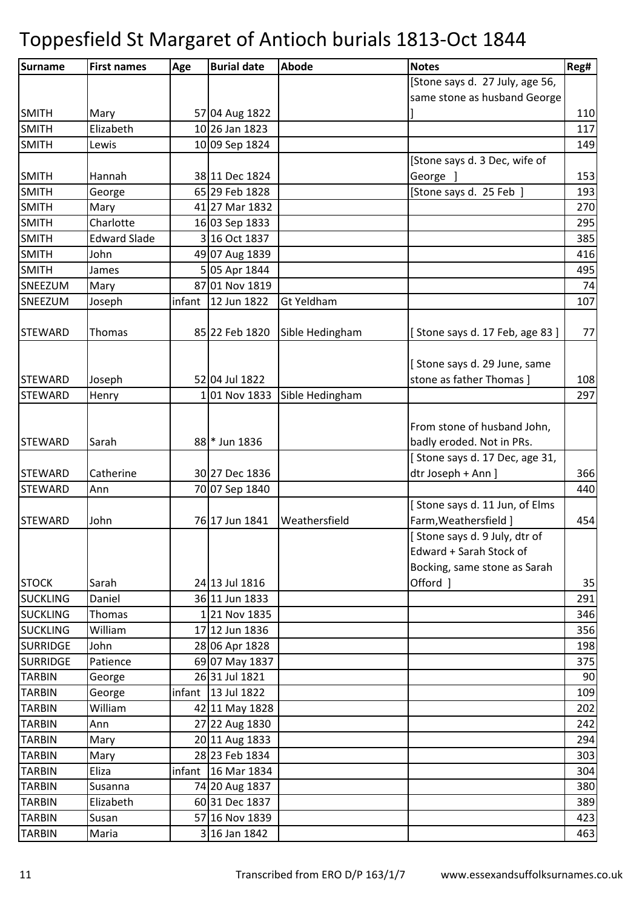| <b>Surname</b>  | <b>First names</b>  | Age    | <b>Burial date</b>   | <b>Abode</b>      | <b>Notes</b>                    | Reg# |
|-----------------|---------------------|--------|----------------------|-------------------|---------------------------------|------|
|                 |                     |        |                      |                   | [Stone says d. 27 July, age 56, |      |
|                 |                     |        |                      |                   | same stone as husband George    |      |
| <b>SMITH</b>    | Mary                |        | 57 04 Aug 1822       |                   |                                 | 110  |
| <b>SMITH</b>    | Elizabeth           |        | 10 26 Jan 1823       |                   |                                 | 117  |
| <b>SMITH</b>    | Lewis               |        | 10 09 Sep 1824       |                   |                                 | 149  |
|                 |                     |        |                      |                   | [Stone says d. 3 Dec, wife of   |      |
| <b>SMITH</b>    | Hannah              |        | 38 11 Dec 1824       |                   | George ]                        | 153  |
| <b>SMITH</b>    | George              |        | 65 29 Feb 1828       |                   | [Stone says d. 25 Feb ]         | 193  |
| <b>SMITH</b>    | Mary                |        | 41 27 Mar 1832       |                   |                                 | 270  |
| <b>SMITH</b>    | Charlotte           |        | 16 03 Sep 1833       |                   |                                 | 295  |
| <b>SMITH</b>    | <b>Edward Slade</b> |        | 3 16 Oct 1837        |                   |                                 | 385  |
| <b>SMITH</b>    | John                |        | 49 07 Aug 1839       |                   |                                 | 416  |
| <b>SMITH</b>    | James               |        | 5 05 Apr 1844        |                   |                                 | 495  |
| SNEEZUM         | Mary                |        | 87 01 Nov 1819       |                   |                                 | 74   |
| SNEEZUM         | Joseph              | infant | 12 Jun 1822          | <b>Gt Yeldham</b> |                                 | 107  |
|                 |                     |        |                      |                   |                                 |      |
| <b>STEWARD</b>  | Thomas              |        | 85 22 Feb 1820       | Sible Hedingham   | [Stone says d. 17 Feb, age 83]  | 77   |
|                 |                     |        |                      |                   |                                 |      |
|                 |                     |        |                      |                   | [Stone says d. 29 June, same    |      |
| <b>STEWARD</b>  | Joseph              |        | 52 04 Jul 1822       |                   | stone as father Thomas ]        | 108  |
| <b>STEWARD</b>  | Henry               |        | 101 Nov 1833         | Sible Hedingham   |                                 | 297  |
|                 |                     |        |                      |                   |                                 |      |
|                 |                     |        |                      |                   | From stone of husband John,     |      |
| <b>STEWARD</b>  | Sarah               |        | 88 * Jun 1836        |                   | badly eroded. Not in PRs.       |      |
|                 |                     |        |                      |                   | [Stone says d. 17 Dec, age 31,  |      |
| <b>STEWARD</b>  | Catherine           |        | 30 27 Dec 1836       |                   | dtr Joseph + Ann ]              | 366  |
| <b>STEWARD</b>  | Ann                 |        | 70 07 Sep 1840       |                   |                                 | 440  |
|                 |                     |        |                      |                   | [Stone says d. 11 Jun, of Elms  |      |
| STEWARD         | John                |        | 76 17 Jun 1841       | Weathersfield     | Farm, Weathersfield ]           | 454  |
|                 |                     |        |                      |                   | [Stone says d. 9 July, dtr of   |      |
|                 |                     |        |                      |                   | Edward + Sarah Stock of         |      |
|                 |                     |        |                      |                   | Bocking, same stone as Sarah    |      |
| <b>STOCK</b>    | Sarah               |        | 24 13 Jul 1816       |                   | Offord ]                        | 35   |
| <b>SUCKLING</b> | Daniel              |        | 36 11 Jun 1833       |                   |                                 | 291  |
| <b>SUCKLING</b> | Thomas              |        | 121 Nov 1835         |                   |                                 | 346  |
| <b>SUCKLING</b> | William             |        | 17 12 Jun 1836       |                   |                                 | 356  |
| <b>SURRIDGE</b> | John                |        | 28 06 Apr 1828       |                   |                                 | 198  |
| <b>SURRIDGE</b> | Patience            |        | 69 07 May 1837       |                   |                                 | 375  |
| <b>TARBIN</b>   | George              |        | 26 31 Jul 1821       |                   |                                 | 90   |
| <b>TARBIN</b>   | George              |        | infant   13 Jul 1822 |                   |                                 | 109  |
| <b>TARBIN</b>   | William             |        | 42 11 May 1828       |                   |                                 | 202  |
| <b>TARBIN</b>   | Ann                 |        | 27 22 Aug 1830       |                   |                                 | 242  |
| <b>TARBIN</b>   | Mary                |        | 20 11 Aug 1833       |                   |                                 | 294  |
| <b>TARBIN</b>   | Mary                |        | 28 23 Feb 1834       |                   |                                 | 303  |
| <b>TARBIN</b>   | Eliza               |        | infant 16 Mar 1834   |                   |                                 | 304  |
| <b>TARBIN</b>   | Susanna             |        | 74 20 Aug 1837       |                   |                                 | 380  |
| <b>TARBIN</b>   | Elizabeth           |        | 60 31 Dec 1837       |                   |                                 | 389  |
| <b>TARBIN</b>   | Susan               |        | 57 16 Nov 1839       |                   |                                 | 423  |
| <b>TARBIN</b>   | Maria               |        | 3 16 Jan 1842        |                   |                                 | 463  |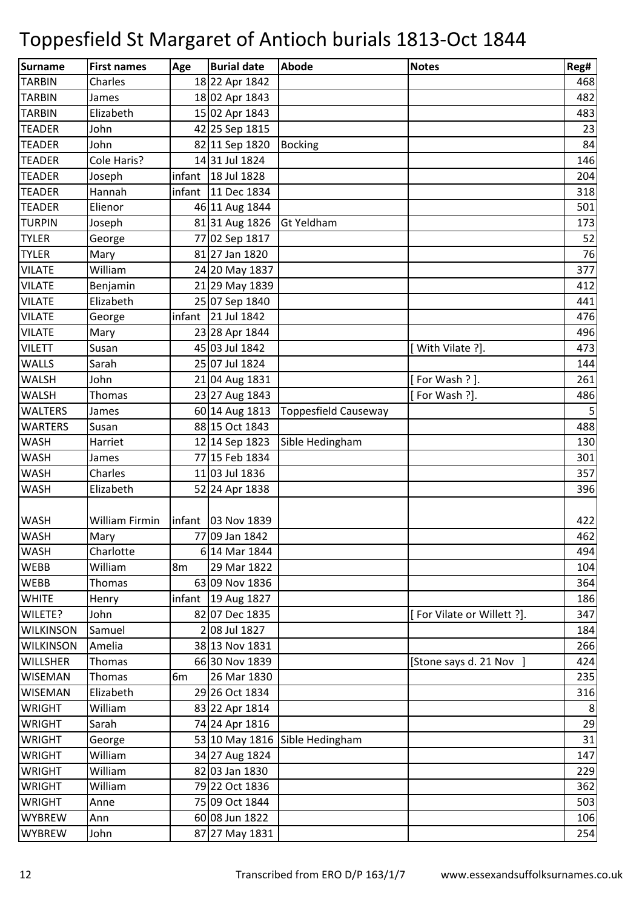| Surname          | <b>First names</b> | Age    | <b>Burial date</b>   | Abode                          | <b>Notes</b>               | Reg# |
|------------------|--------------------|--------|----------------------|--------------------------------|----------------------------|------|
| <b>TARBIN</b>    | Charles            |        | 18 22 Apr 1842       |                                |                            | 468  |
| <b>TARBIN</b>    | James              |        | 18 02 Apr 1843       |                                |                            | 482  |
| <b>TARBIN</b>    | Elizabeth          |        | 15 02 Apr 1843       |                                |                            | 483  |
| <b>TEADER</b>    | John               |        | 42 25 Sep 1815       |                                |                            | 23   |
| <b>TEADER</b>    | John               |        | 82 11 Sep 1820       | <b>Bocking</b>                 |                            | 84   |
| <b>TEADER</b>    | Cole Haris?        |        | 1431 Jul 1824        |                                |                            | 146  |
| <b>TEADER</b>    | Joseph             | infant | 18 Jul 1828          |                                |                            | 204  |
| <b>TEADER</b>    | Hannah             |        | infant   11 Dec 1834 |                                |                            | 318  |
| <b>TEADER</b>    | Elienor            |        | 46 11 Aug 1844       |                                |                            | 501  |
| <b>TURPIN</b>    | Joseph             |        | 81 31 Aug 1826       | <b>Gt Yeldham</b>              |                            | 173  |
| <b>TYLER</b>     | George             |        | 77 02 Sep 1817       |                                |                            | 52   |
| <b>TYLER</b>     | Mary               |        | 81 27 Jan 1820       |                                |                            | 76   |
| <b>VILATE</b>    | William            |        | 24 20 May 1837       |                                |                            | 377  |
| <b>VILATE</b>    | Benjamin           |        | 21 29 May 1839       |                                |                            | 412  |
| <b>VILATE</b>    | Elizabeth          |        | 25 07 Sep 1840       |                                |                            | 441  |
| <b>VILATE</b>    | George             | infant | 21 Jul 1842          |                                |                            | 476  |
| <b>VILATE</b>    | Mary               |        | 23 28 Apr 1844       |                                |                            | 496  |
| <b>VILETT</b>    | Susan              |        | 45 03 Jul 1842       |                                | [With Vilate ?].           | 473  |
| <b>WALLS</b>     | Sarah              |        | 25 07 Jul 1824       |                                |                            | 144  |
| <b>WALSH</b>     | John               |        | 21 04 Aug 1831       |                                | [For Wash ?].              | 261  |
| <b>WALSH</b>     | Thomas             |        | 23 27 Aug 1843       |                                | [For Wash ?].              | 486  |
| <b>WALTERS</b>   | James              |        | 60 14 Aug 1813       | Toppesfield Causeway           |                            | 5    |
| <b>WARTERS</b>   | Susan              |        | 88 15 Oct 1843       |                                |                            | 488  |
| <b>WASH</b>      | Harriet            |        | 12 14 Sep 1823       | Sible Hedingham                |                            | 130  |
| <b>WASH</b>      | James              |        | 77 15 Feb 1834       |                                |                            | 301  |
| <b>WASH</b>      | Charles            |        | 11 03 Jul 1836       |                                |                            | 357  |
| <b>WASH</b>      | Elizabeth          |        | 52 24 Apr 1838       |                                |                            | 396  |
|                  |                    |        |                      |                                |                            |      |
| <b>WASH</b>      | William Firmin     |        | infant   03 Nov 1839 |                                |                            | 422  |
| <b>WASH</b>      | Mary               |        | 77 09 Jan 1842       |                                |                            | 462  |
| <b>WASH</b>      | Charlotte          |        | 6 14 Mar 1844        |                                |                            | 494  |
| <b>WEBB</b>      | William            | 8m     | 29 Mar 1822          |                                |                            | 104  |
| <b>WEBB</b>      | Thomas             |        | 63 09 Nov 1836       |                                |                            | 364  |
| <b>WHITE</b>     | Henry              | infant | 19 Aug 1827          |                                |                            | 186  |
| WILETE?          | John               |        | 82 07 Dec 1835       |                                | [For Vilate or Willett ?]. | 347  |
| <b>WILKINSON</b> | Samuel             |        | 2 08 Jul 1827        |                                |                            | 184  |
| <b>WILKINSON</b> | Amelia             |        | 38 13 Nov 1831       |                                |                            | 266  |
| <b>WILLSHER</b>  | Thomas             |        | 66 30 Nov 1839       |                                | [Stone says d. 21 Nov ]    | 424  |
| <b>WISEMAN</b>   | Thomas             | 6m     | 26 Mar 1830          |                                |                            | 235  |
| <b>WISEMAN</b>   | Elizabeth          |        | 29 26 Oct 1834       |                                |                            | 316  |
| <b>WRIGHT</b>    | William            |        | 83 22 Apr 1814       |                                |                            | 8    |
| <b>WRIGHT</b>    | Sarah              |        | 74 24 Apr 1816       |                                |                            | 29   |
| <b>WRIGHT</b>    | George             |        |                      | 53 10 May 1816 Sible Hedingham |                            | 31   |
| <b>WRIGHT</b>    | William            |        | 34 27 Aug 1824       |                                |                            | 147  |
| <b>WRIGHT</b>    | William            |        | 82 03 Jan 1830       |                                |                            | 229  |
| <b>WRIGHT</b>    | William            |        | 79 22 Oct 1836       |                                |                            | 362  |
| <b>WRIGHT</b>    | Anne               |        | 75 09 Oct 1844       |                                |                            | 503  |
| <b>WYBREW</b>    | Ann                |        | 60 08 Jun 1822       |                                |                            | 106  |
| <b>WYBREW</b>    | John               |        | 87 27 May 1831       |                                |                            | 254  |